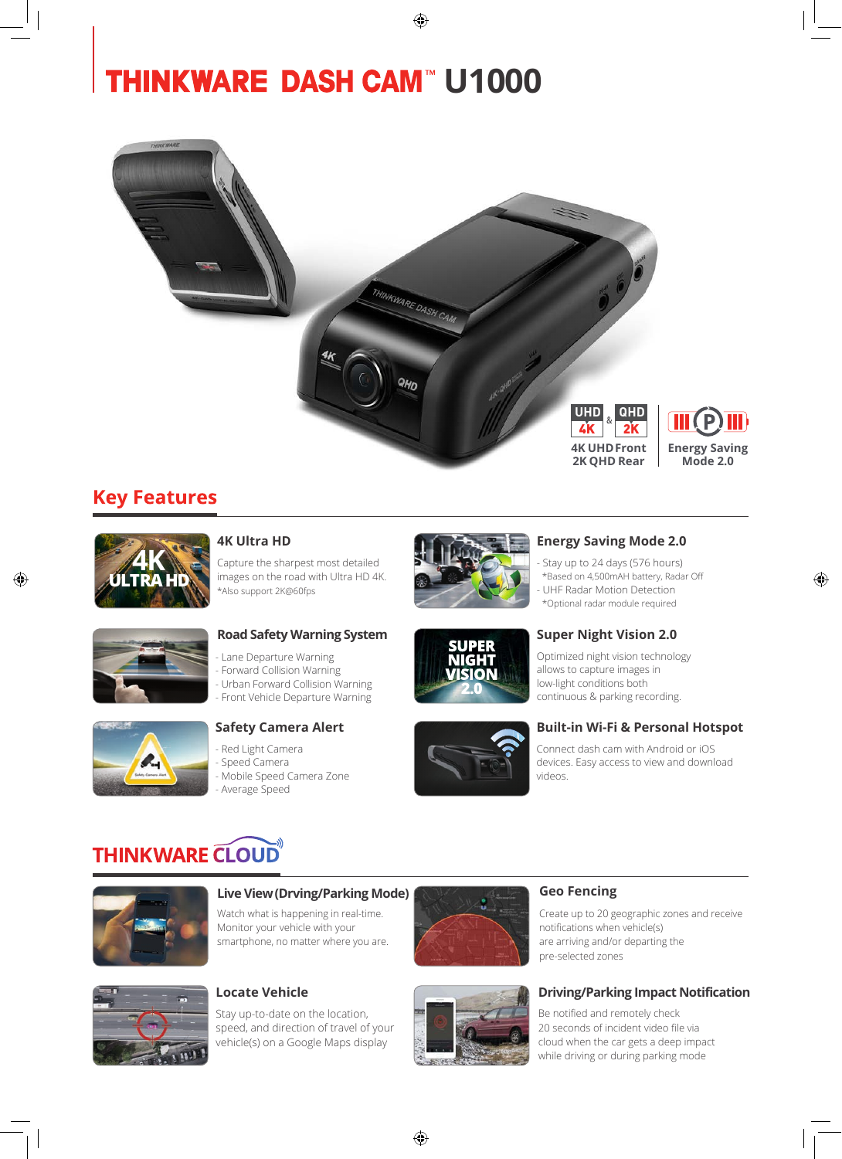# **THINKWARE DASH CAM™ U1000**



◈

### **Key Features**



◈

### **4K Ultra HD**

Capture the sharpest most detailed images on the road with Ultra HD 4K. \*Also support 2K@60fps



### **Energy Saving Mode 2.0**

- Stay up to 24 days (576 hours) \*Based on 4,500mAH battery, Radar Off - UHF Radar Motion Detection \*Optional radar module required

◈



### **Road Safety Warning System**

Lane Departure Warning - Forward Collision Warning - Urban Forward Collision Warning - Front Vehicle Departure Warning



### **Safety Camera Alert**

- Red Light Camera - Speed Camera Mobile Speed Camera Zone - Average Speed



### **Super Night Vision 2.0** Optimized night vision technology

allows to capture images in low-light conditions both continuous & parking recording.

### **Built-in Wi-Fi & Personal Hotspot**

Connect dash cam with Android or iOS devices. Easy access to view and download videos.

# **THINKWARE CLOUD**



### **Live View (Drving/Parking Mode) Geo Fencing**

Watch what is happening in real-time. Monitor your vehicle with your smartphone, no matter where you are.

Stay up-to-date on the location, speed, and direction of travel of your vehicle(s) on a Google Maps display



Create up to 20 geographic zones and receive notifications when vehicle(s) are arriving and/or departing the pre-selected zones

### **Locate Vehicle Driving/Parking Impact Notification**

Be notified and remotely check 20 seconds of incident video file via cloud when the car gets a deep impact while driving or during parking mode